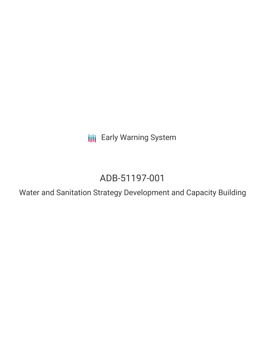**III** Early Warning System

# ADB-51197-001

Water and Sanitation Strategy Development and Capacity Building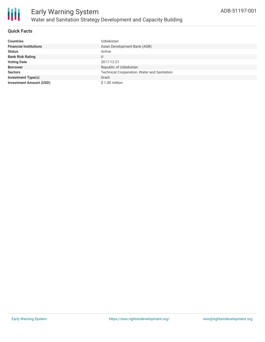

#### **Quick Facts**

| <b>Countries</b>               | Uzbekistan                                  |
|--------------------------------|---------------------------------------------|
| <b>Financial Institutions</b>  | Asian Development Bank (ADB)                |
| <b>Status</b>                  | Active                                      |
| <b>Bank Risk Rating</b>        | U                                           |
| <b>Voting Date</b>             | 2017-12-21                                  |
| <b>Borrower</b>                | Republic of Uzbekistan                      |
| <b>Sectors</b>                 | Technical Cooperation, Water and Sanitation |
| <b>Investment Type(s)</b>      | Grant                                       |
| <b>Investment Amount (USD)</b> | \$1.00 million                              |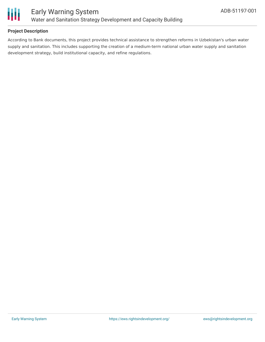

#### **Project Description**

According to Bank documents, this project provides technical assistance to strengthen reforms in Uzbekistan's urban water supply and sanitation. This includes supporting the creation of a medium-term national urban water supply and sanitation development strategy, build institutional capacity, and refine regulations.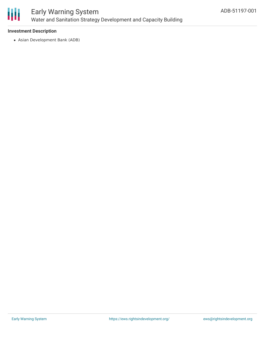

## Early Warning System Water and Sanitation Strategy Development and Capacity Building

#### **Investment Description**

Asian Development Bank (ADB)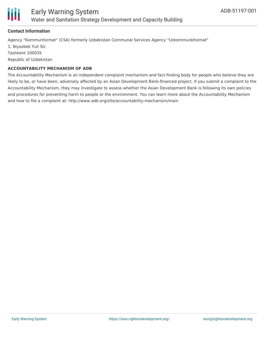

#### **Contact Information**

Agency "Kommunhizmat" (CSA) formerly Uzbekistan Communal Services Agency "Uzkommunkhizmat" 1, Niyozbek Yuli Str. Tashkent 100035 Republic of Uzbekistan

#### **ACCOUNTABILITY MECHANISM OF ADB**

The Accountability Mechanism is an independent complaint mechanism and fact-finding body for people who believe they are likely to be, or have been, adversely affected by an Asian Development Bank-financed project. If you submit a complaint to the Accountability Mechanism, they may investigate to assess whether the Asian Development Bank is following its own policies and procedures for preventing harm to people or the environment. You can learn more about the Accountability Mechanism and how to file a complaint at: http://www.adb.org/site/accountability-mechanism/main